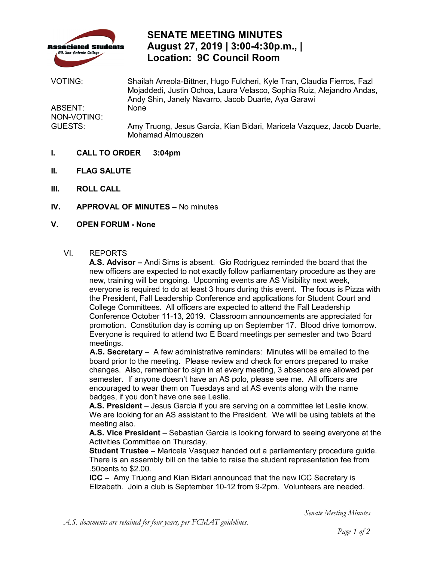

# **SENATE MEETING MINUTES August 27, 2019 | 3:00-4:30p.m., | Location: 9C Council Room**

NON-VOTING: VOTING: Shailah Arreola-Bittner, Hugo Fulcheri, Kyle Tran, Claudia Fierros, Fazl Mojaddedi, Justin Ochoa, Laura Velasco, Sophia Ruiz, Alejandro Andas, Andy Shin, Janely Navarro, Jacob Duarte, Aya Garawi ABSENT: None GUESTS: Amy Truong, Jesus Garcia, Kian Bidari, Maricela Vazquez, Jacob Duarte, Mohamad Almouazen

- **I. CALL TO ORDER 3:04pm**
- **II. FLAG SALUTE**
- **III. ROLL CALL**
- **IV. APPROVAL OF MINUTES** No minutes
- **V. OPEN FORUM - None**

#### VI. REPORTS

 new officers are expected to not exactly follow parliamentary procedure as they are new, training will be ongoing. Upcoming events are AS Visibility next week, College Committees. All officers are expected to attend the Fall Leadership promotion. Constitution day is coming up on September 17. Blood drive tomorrow. Everyone is required to attend two E Board meetings per semester and two Board meetings. **A.S. Advisor –** Andi Sims is absent. Gio Rodriguez reminded the board that the everyone is required to do at least 3 hours during this event. The focus is Pizza with the President, Fall Leadership Conference and applications for Student Court and Conference October 11-13, 2019. Classroom announcements are appreciated for

 **A.S. Secretary** – A few administrative reminders: Minutes will be emailed to the board prior to the meeting. Please review and check for errors prepared to make changes. Also, remember to sign in at every meeting, 3 absences are allowed per badges, if you don't have one see Leslie. semester. If anyone doesn't have an AS polo, please see me. All officers are encouraged to wear them on Tuesdays and at AS events along with the name

A.S. President – Jesus Garcia if you are serving on a committee let Leslie know. **A.S. President** – Jesus Garcia if you are serving on a committee let Leslie know.<br>We are looking for an AS assistant to the President. We will be using tablets at the meeting also.

 Activities Committee on Thursday. **A.S. Vice President** – Sebastian Garcia is looking forward to seeing everyone at the

 **Student Trustee –** Maricela Vasquez handed out a parliamentary procedure guide. There is an assembly bill on the table to raise the student representation fee from .50cents to \$2.00.

 **ICC –** Amy Truong and Kian Bidari announced that the new ICC Secretary is Elizabeth. Join a club is September 10-12 from 9-2pm. Volunteers are needed.

*Senate Meeting Minutes*